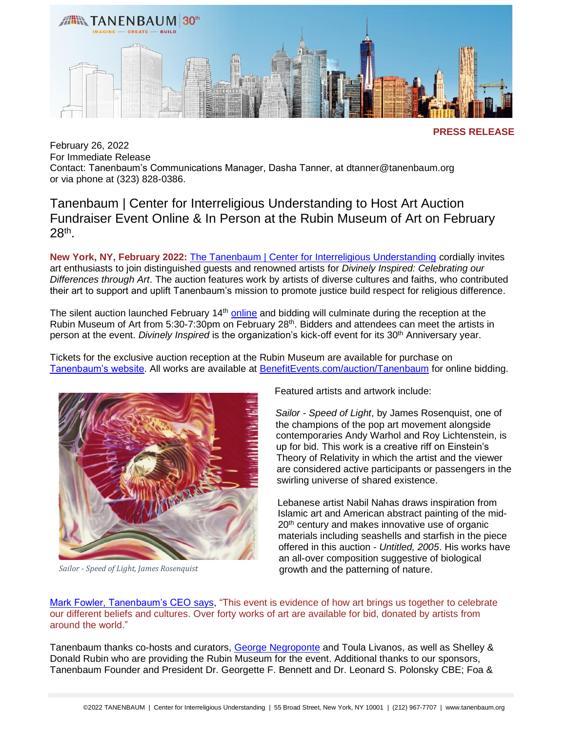

**PRESS RELEASE**

February 26, 2022 For Immediate Release Contact: Tanenbaum's Communications Manager, Dasha Tanner, at dtanner@tanenbaum.org or via phone at (323) 828-0386.

Tanenbaum | Center for Interreligious Understanding to Host Art Auction Fundraiser Event Online & In Person at the Rubin Museum of Art on February 28th .

**New York, NY, February 2022:** [The Tanenbaum | Center for Interreligious Understanding](https://tanenbaum.org/) cordially invites art enthusiasts to join distinguished guests and renowned artists for *Divinely Inspired: Celebrating our Differences through Art*. The auction features work by artists of diverse cultures and faiths, who contributed their art to support and uplift Tanenbaum's mission to promote justice build respect for religious difference.

The silent auction launched February 14<sup>th</sup> [online](https://benefitevents.com/auctions/tanenbaum/catalog.asp?auctionid=10235) and bidding will culminate during the reception at the Rubin Museum of Art from 5:30-7:30pm on February 28<sup>th</sup>. Bidders and attendees can meet the artists in person at the event. *Divinely Inspired* is the organization's kick-off event for its 30<sup>th</sup> Anniversary year.

Tickets for the exclusive auction reception at the Rubin Museum are available for purchase on [Tanenbaum's website.](https://tanenbaum.org/event-tickets/divinely-inspired/) All works are available at [BenefitEvents.com/auction/Tanenbaum](https://benefitevents.com/auctions/tanenbaum/catalog.asp?auctionid=10235) for online bidding.



*Sailor - Speed of Light, James Rosenquist*

Featured artists and artwork include:

*Sailor - Speed of Light*, by James Rosenquist, one of the champions of the pop art movement alongside contemporaries Andy Warhol and Roy Lichtenstein, is up for bid. This work is a creative riff on Einstein's Theory of Relativity in which the artist and the viewer are considered active participants or passengers in the swirling universe of shared existence.

Lebanese artist Nabil Nahas draws inspiration from Islamic art and American abstract painting of the mid-20<sup>th</sup> century and makes innovative use of organic materials including seashells and starfish in the piece offered in this auction - *Untitled, 2005*. His works have an all-over composition suggestive of biological growth and the patterning of nature.

[Mark Fowler, Tanenbaum's CEO says,](https://tanenbaum.org/about-us/who-we-are/staff/) "This event is evidence of how art brings us together to celebrate our different beliefs and cultures. Over forty works of art are available for bid, donated by artists from around the world."

Tanenbaum thanks co-hosts and curators, [George Negroponte](http://www.georgenegroponte.com/) and Toula Livanos, as well as Shelley & Donald Rubin who are providing the Rubin Museum for the event. Additional thanks to our sponsors, Tanenbaum Founder and President Dr. Georgette F. Bennett and Dr. Leonard S. Polonsky CBE; Foa &